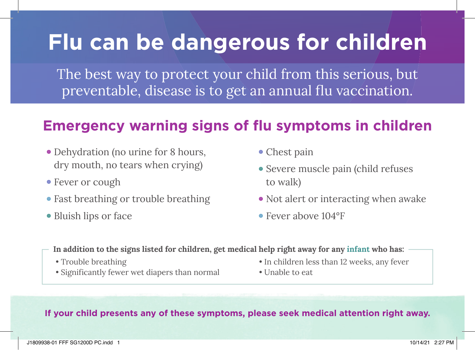## **Flu can be dangerous for children**

The best way to protect your child from this serious, but preventable, disease is to get an annual flu vaccination.

## **Emergency warning signs of flu symptoms in children**

- **•** Dehydration (no urine for 8 hours, dry mouth, no tears when crying)
- **•** Fever or cough
- **•** Fast breathing or trouble breathing
- **•** Bluish lips or face
- **•** Chest pain
- **•** Severe muscle pain (child refuses to walk)
- **•** Not alert or interacting when awake
- **•** Fever above 104°F
- **In addition to the signs listed for children, get medical help right away for any infant who has:**
	- Trouble breathing
	- Significantly fewer wet diapers than normal
- In children less than 12 weeks, any fever
- Unable to eat

## **If your child presents any of these symptoms, please seek medical attention right away.**